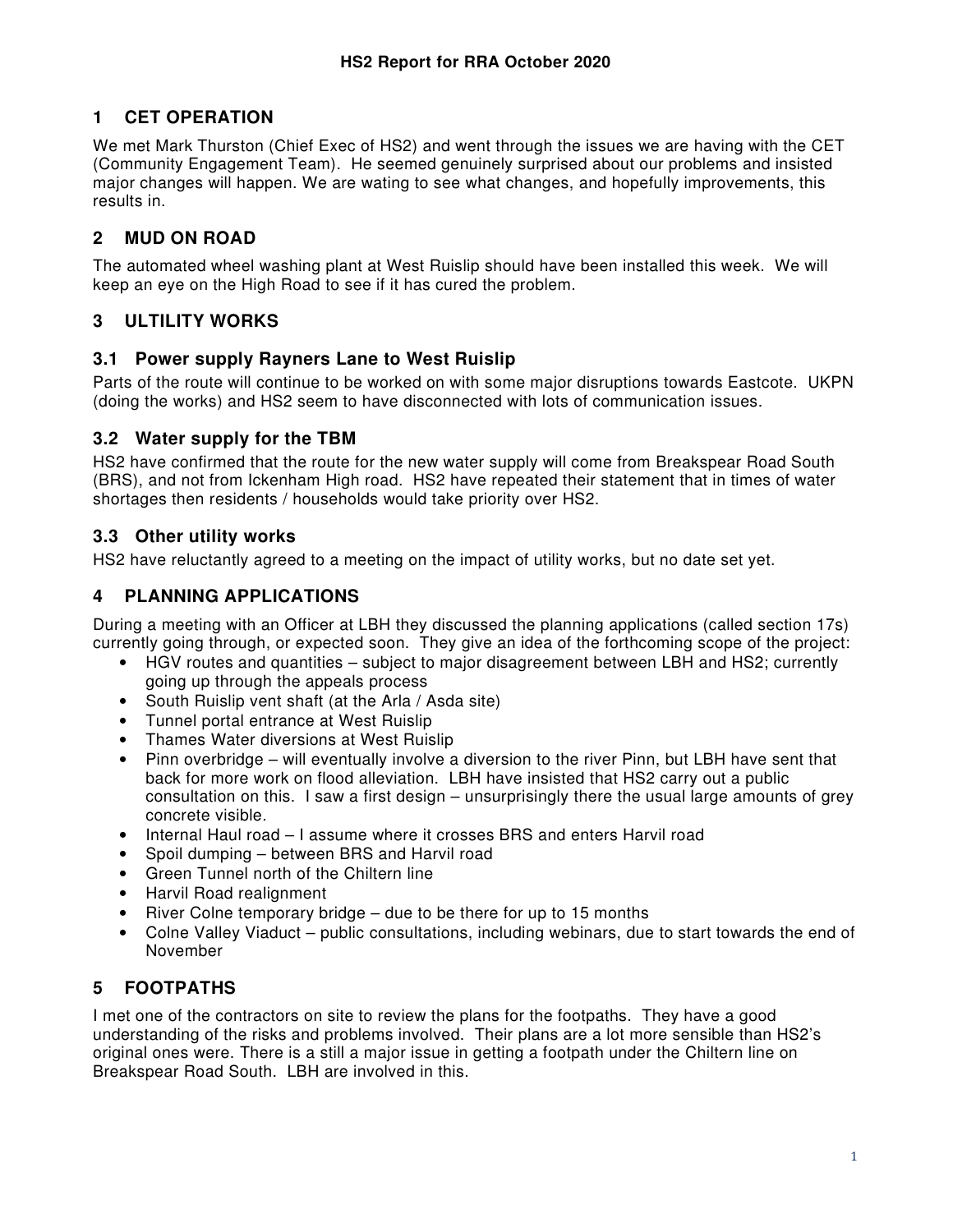# **1 CET OPERATION**

We met Mark Thurston (Chief Exec of HS2) and went through the issues we are having with the CET (Community Engagement Team). He seemed genuinely surprised about our problems and insisted major changes will happen. We are wating to see what changes, and hopefully improvements, this results in.

### **2 MUD ON ROAD**

The automated wheel washing plant at West Ruislip should have been installed this week. We will keep an eye on the High Road to see if it has cured the problem.

## **3 ULTILITY WORKS**

#### **3.1 Power supply Rayners Lane to West Ruislip**

Parts of the route will continue to be worked on with some major disruptions towards Eastcote. UKPN (doing the works) and HS2 seem to have disconnected with lots of communication issues.

#### **3.2 Water supply for the TBM**

HS2 have confirmed that the route for the new water supply will come from Breakspear Road South (BRS), and not from Ickenham High road. HS2 have repeated their statement that in times of water shortages then residents / households would take priority over HS2.

### **3.3 Other utility works**

HS2 have reluctantly agreed to a meeting on the impact of utility works, but no date set yet.

### **4 PLANNING APPLICATIONS**

During a meeting with an Officer at LBH they discussed the planning applications (called section 17s) currently going through, or expected soon. They give an idea of the forthcoming scope of the project:

- HGV routes and quantities subject to major disagreement between LBH and HS2; currently going up through the appeals process
- South Ruislip vent shaft (at the Arla / Asda site)
- Tunnel portal entrance at West Ruislip
- Thames Water diversions at West Ruislip
- Pinn overbridge will eventually involve a diversion to the river Pinn, but LBH have sent that back for more work on flood alleviation. LBH have insisted that HS2 carry out a public consultation on this. I saw a first design – unsurprisingly there the usual large amounts of grey concrete visible.
- Internal Haul road I assume where it crosses BRS and enters Harvil road
- Spoil dumping between BRS and Harvil road
- Green Tunnel north of the Chiltern line
- Harvil Road realignment
- River Colne temporary bridge due to be there for up to 15 months
- Colne Valley Viaduct public consultations, including webinars, due to start towards the end of November

# **5 FOOTPATHS**

I met one of the contractors on site to review the plans for the footpaths. They have a good understanding of the risks and problems involved. Their plans are a lot more sensible than HS2's original ones were. There is a still a major issue in getting a footpath under the Chiltern line on Breakspear Road South. LBH are involved in this.